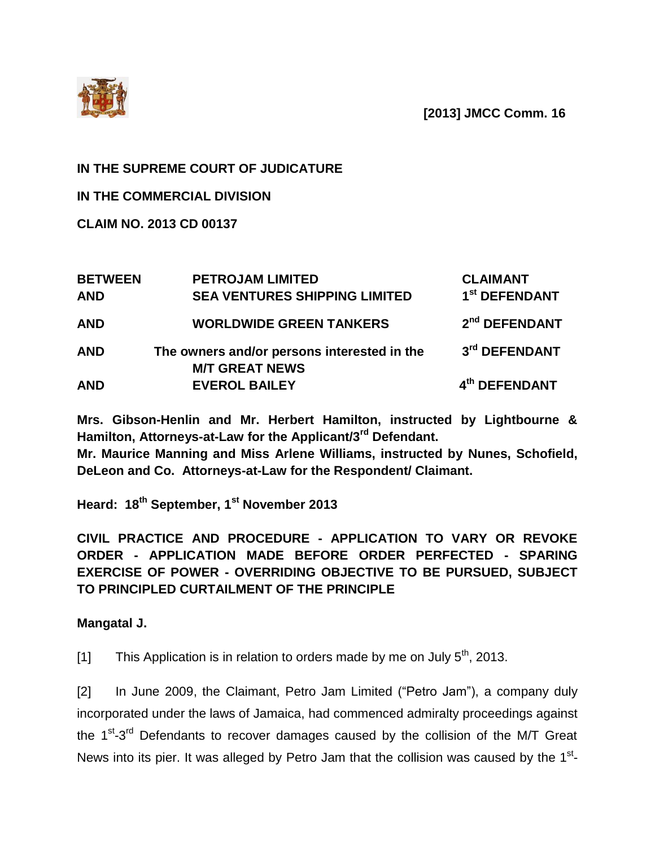**[2013] JMCC Comm. 16**



## **IN THE SUPREME COURT OF JUDICATURE**

**IN THE COMMERCIAL DIVISION**

**CLAIM NO. 2013 CD 00137**

| <b>BETWEEN</b><br><b>AND</b> | <b>PETROJAM LIMITED</b><br><b>SEA VENTURES SHIPPING LIMITED</b>      | <b>CLAIMANT</b><br>1 <sup>st</sup> DEFENDANT |
|------------------------------|----------------------------------------------------------------------|----------------------------------------------|
| <b>AND</b>                   | <b>WORLDWIDE GREEN TANKERS</b>                                       | 2 <sup>nd</sup> DEFENDANT                    |
| <b>AND</b>                   | The owners and/or persons interested in the<br><b>M/T GREAT NEWS</b> | 3rd DEFENDANT                                |
| <b>AND</b>                   | <b>EVEROL BAILEY</b>                                                 | 4 <sup>th</sup> DEFENDANT                    |

**Mrs. Gibson-Henlin and Mr. Herbert Hamilton, instructed by Lightbourne & Hamilton, Attorneys-at-Law for the Applicant/3rd Defendant.**

**Mr. Maurice Manning and Miss Arlene Williams, instructed by Nunes, Schofield, DeLeon and Co. Attorneys-at-Law for the Respondent/ Claimant.**

**Heard: 18th September, 1st November 2013**

**CIVIL PRACTICE AND PROCEDURE - APPLICATION TO VARY OR REVOKE ORDER - APPLICATION MADE BEFORE ORDER PERFECTED - SPARING EXERCISE OF POWER - OVERRIDING OBJECTIVE TO BE PURSUED, SUBJECT TO PRINCIPLED CURTAILMENT OF THE PRINCIPLE**

**Mangatal J.**

[1] This Application is in relation to orders made by me on July  $5<sup>th</sup>$ , 2013.

[2] In June 2009, the Claimant, Petro Jam Limited ("Petro Jam"), a company duly incorporated under the laws of Jamaica, had commenced admiralty proceedings against the 1<sup>st</sup>-3<sup>rd</sup> Defendants to recover damages caused by the collision of the M/T Great News into its pier. It was alleged by Petro Jam that the collision was caused by the  $1<sup>st</sup>$ -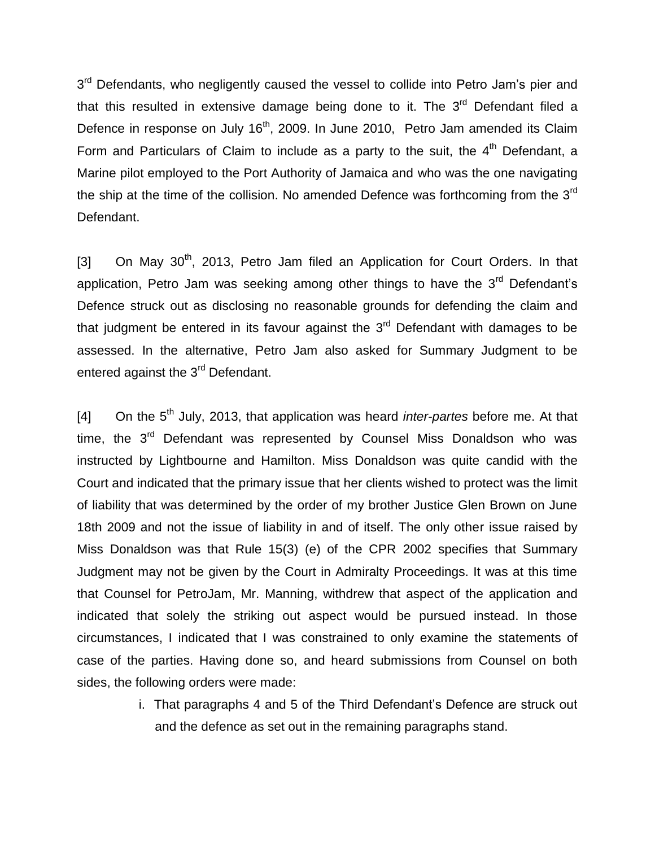3<sup>rd</sup> Defendants, who negligently caused the vessel to collide into Petro Jam's pier and that this resulted in extensive damage being done to it. The  $3<sup>rd</sup>$  Defendant filed a Defence in response on July 16<sup>th</sup>, 2009. In June 2010, Petro Jam amended its Claim Form and Particulars of Claim to include as a party to the suit, the  $4<sup>th</sup>$  Defendant, a Marine pilot employed to the Port Authority of Jamaica and who was the one navigating the ship at the time of the collision. No amended Defence was forthcoming from the 3<sup>rd</sup> Defendant.

[3] On May 30<sup>th</sup>, 2013, Petro Jam filed an Application for Court Orders. In that application, Petro Jam was seeking among other things to have the  $3<sup>rd</sup>$  Defendant's Defence struck out as disclosing no reasonable grounds for defending the claim and that judgment be entered in its favour against the  $3<sup>rd</sup>$  Defendant with damages to be assessed. In the alternative, Petro Jam also asked for Summary Judgment to be entered against the 3<sup>rd</sup> Defendant.

[4] On the 5<sup>th</sup> July, 2013, that application was heard *inter-partes* before me. At that time, the  $3<sup>rd</sup>$  Defendant was represented by Counsel Miss Donaldson who was instructed by Lightbourne and Hamilton. Miss Donaldson was quite candid with the Court and indicated that the primary issue that her clients wished to protect was the limit of liability that was determined by the order of my brother Justice Glen Brown on June 18th 2009 and not the issue of liability in and of itself. The only other issue raised by Miss Donaldson was that Rule 15(3) (e) of the CPR 2002 specifies that Summary Judgment may not be given by the Court in Admiralty Proceedings. It was at this time that Counsel for PetroJam, Mr. Manning, withdrew that aspect of the application and indicated that solely the striking out aspect would be pursued instead. In those circumstances, I indicated that I was constrained to only examine the statements of case of the parties. Having done so, and heard submissions from Counsel on both sides, the following orders were made:

> i. That paragraphs 4 and 5 of the Third Defendant's Defence are struck out and the defence as set out in the remaining paragraphs stand.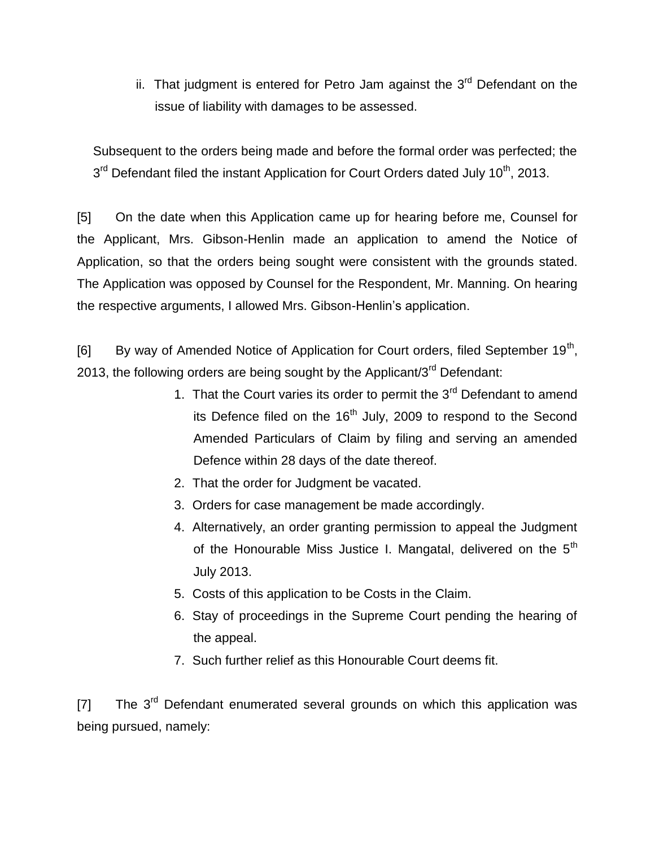ii. That judgment is entered for Petro Jam against the  $3<sup>rd</sup>$  Defendant on the issue of liability with damages to be assessed.

Subsequent to the orders being made and before the formal order was perfected; the  $3<sup>rd</sup>$  Defendant filed the instant Application for Court Orders dated July 10<sup>th</sup>, 2013.

[5] On the date when this Application came up for hearing before me, Counsel for the Applicant, Mrs. Gibson-Henlin made an application to amend the Notice of Application, so that the orders being sought were consistent with the grounds stated. The Application was opposed by Counsel for the Respondent, Mr. Manning. On hearing the respective arguments, I allowed Mrs. Gibson-Henlin's application.

[6] By way of Amended Notice of Application for Court orders, filed September 19<sup>th</sup>, 2013, the following orders are being sought by the Applicant/ $3<sup>rd</sup>$  Defendant:

- 1. That the Court varies its order to permit the 3<sup>rd</sup> Defendant to amend its Defence filed on the  $16<sup>th</sup>$  July, 2009 to respond to the Second Amended Particulars of Claim by filing and serving an amended Defence within 28 days of the date thereof.
- 2. That the order for Judgment be vacated.
- 3. Orders for case management be made accordingly.
- 4. Alternatively, an order granting permission to appeal the Judgment of the Honourable Miss Justice I. Mangatal, delivered on the 5<sup>th</sup> July 2013.
- 5. Costs of this application to be Costs in the Claim.
- 6. Stay of proceedings in the Supreme Court pending the hearing of the appeal.
- 7. Such further relief as this Honourable Court deems fit.

 $[7]$  The 3<sup>rd</sup> Defendant enumerated several grounds on which this application was being pursued, namely: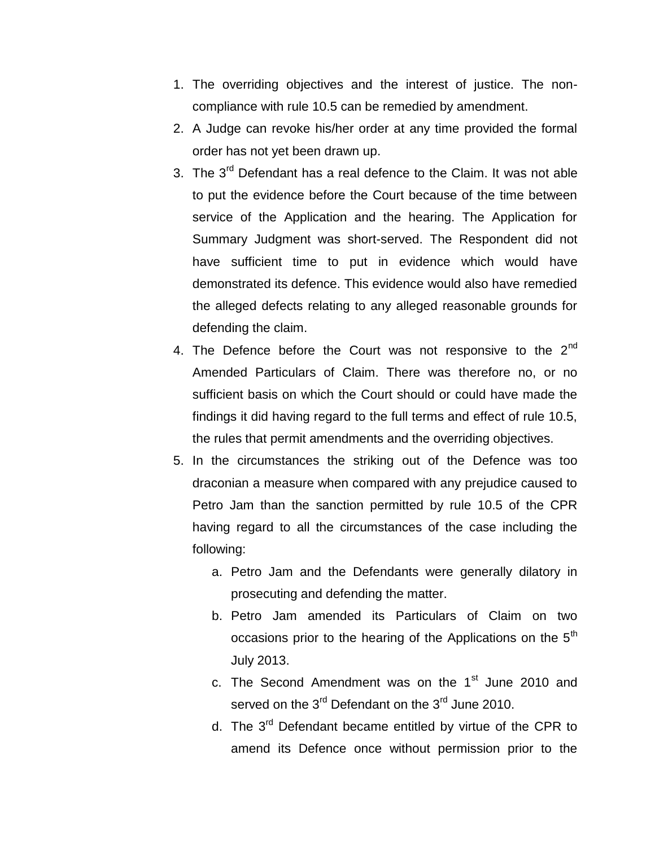- 1. The overriding objectives and the interest of justice. The noncompliance with rule 10.5 can be remedied by amendment.
- 2. A Judge can revoke his/her order at any time provided the formal order has not yet been drawn up.
- 3. The 3<sup>rd</sup> Defendant has a real defence to the Claim. It was not able to put the evidence before the Court because of the time between service of the Application and the hearing. The Application for Summary Judgment was short-served. The Respondent did not have sufficient time to put in evidence which would have demonstrated its defence. This evidence would also have remedied the alleged defects relating to any alleged reasonable grounds for defending the claim.
- 4. The Defence before the Court was not responsive to the  $2^{nd}$ Amended Particulars of Claim. There was therefore no, or no sufficient basis on which the Court should or could have made the findings it did having regard to the full terms and effect of rule 10.5, the rules that permit amendments and the overriding objectives.
- 5. In the circumstances the striking out of the Defence was too draconian a measure when compared with any prejudice caused to Petro Jam than the sanction permitted by rule 10.5 of the CPR having regard to all the circumstances of the case including the following:
	- a. Petro Jam and the Defendants were generally dilatory in prosecuting and defending the matter.
	- b. Petro Jam amended its Particulars of Claim on two occasions prior to the hearing of the Applications on the  $5<sup>th</sup>$ July 2013.
	- c. The Second Amendment was on the 1<sup>st</sup> June 2010 and served on the  $3^{rd}$  Defendant on the  $3^{rd}$  June 2010.
	- d. The 3<sup>rd</sup> Defendant became entitled by virtue of the CPR to amend its Defence once without permission prior to the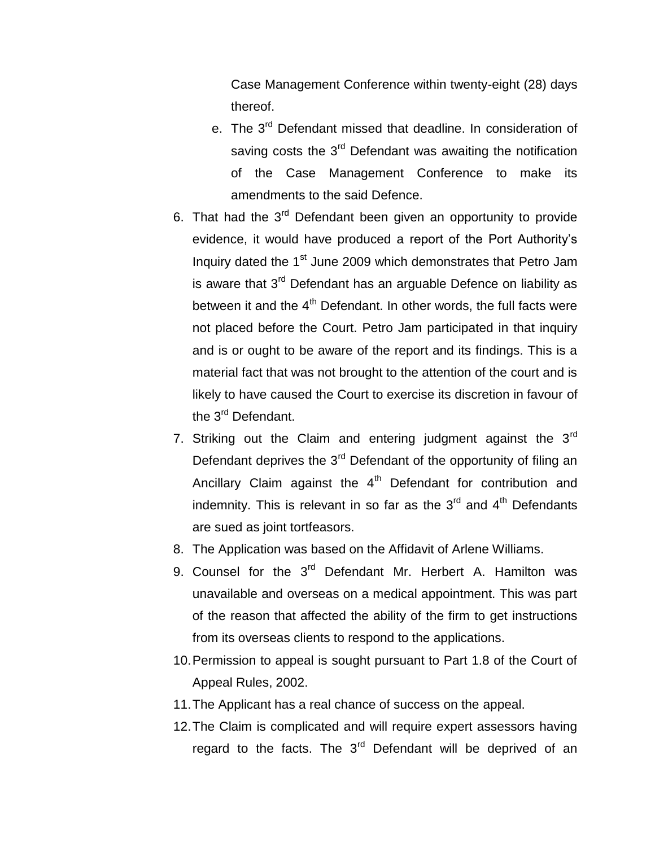Case Management Conference within twenty-eight (28) days thereof.

- e. The 3<sup>rd</sup> Defendant missed that deadline. In consideration of saving costs the 3<sup>rd</sup> Defendant was awaiting the notification of the Case Management Conference to make its amendments to the said Defence.
- 6. That had the  $3<sup>rd</sup>$  Defendant been given an opportunity to provide evidence, it would have produced a report of the Port Authority's Inquiry dated the 1<sup>st</sup> June 2009 which demonstrates that Petro Jam is aware that  $3<sup>rd</sup>$  Defendant has an arguable Defence on liability as between it and the  $4<sup>th</sup>$  Defendant. In other words, the full facts were not placed before the Court. Petro Jam participated in that inquiry and is or ought to be aware of the report and its findings. This is a material fact that was not brought to the attention of the court and is likely to have caused the Court to exercise its discretion in favour of the 3<sup>rd</sup> Defendant.
- 7. Striking out the Claim and entering judgment against the  $3<sup>rd</sup>$ Defendant deprives the  $3<sup>rd</sup>$  Defendant of the opportunity of filing an Ancillary Claim against the  $4<sup>th</sup>$  Defendant for contribution and indemnity. This is relevant in so far as the  $3<sup>rd</sup>$  and  $4<sup>th</sup>$  Defendants are sued as joint tortfeasors.
- 8. The Application was based on the Affidavit of Arlene Williams.
- 9. Counsel for the 3<sup>rd</sup> Defendant Mr. Herbert A. Hamilton was unavailable and overseas on a medical appointment. This was part of the reason that affected the ability of the firm to get instructions from its overseas clients to respond to the applications.
- 10.Permission to appeal is sought pursuant to Part 1.8 of the Court of Appeal Rules, 2002.
- 11.The Applicant has a real chance of success on the appeal.
- 12.The Claim is complicated and will require expert assessors having regard to the facts. The  $3<sup>rd</sup>$  Defendant will be deprived of an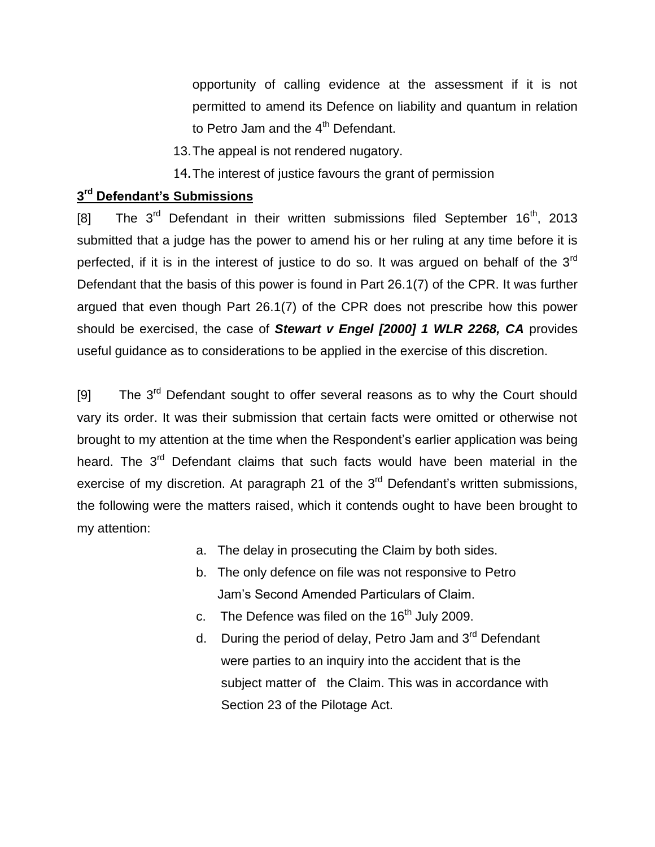opportunity of calling evidence at the assessment if it is not permitted to amend its Defence on liability and quantum in relation to Petro Jam and the 4<sup>th</sup> Defendant.

- 13.The appeal is not rendered nugatory.
- 14.The interest of justice favours the grant of permission

# **3 rd Defendant's Submissions**

[8] The  $3^{rd}$  Defendant in their written submissions filed September 16<sup>th</sup>, 2013 submitted that a judge has the power to amend his or her ruling at any time before it is perfected, if it is in the interest of justice to do so. It was argued on behalf of the 3<sup>rd</sup> Defendant that the basis of this power is found in Part 26.1(7) of the CPR. It was further argued that even though Part 26.1(7) of the CPR does not prescribe how this power should be exercised, the case of *Stewart v Engel [2000] 1 WLR 2268, CA* provides useful guidance as to considerations to be applied in the exercise of this discretion.

[9] The  $3<sup>rd</sup>$  Defendant sought to offer several reasons as to why the Court should vary its order. It was their submission that certain facts were omitted or otherwise not brought to my attention at the time when the Respondent's earlier application was being heard. The 3<sup>rd</sup> Defendant claims that such facts would have been material in the exercise of my discretion. At paragraph 21 of the 3<sup>rd</sup> Defendant's written submissions, the following were the matters raised, which it contends ought to have been brought to my attention:

- a. The delay in prosecuting the Claim by both sides.
- b. The only defence on file was not responsive to Petro Jam's Second Amended Particulars of Claim.
- c. The Defence was filed on the  $16<sup>th</sup>$  July 2009.
- d. During the period of delay, Petro Jam and 3<sup>rd</sup> Defendant were parties to an inquiry into the accident that is the subject matter of the Claim. This was in accordance with Section 23 of the Pilotage Act.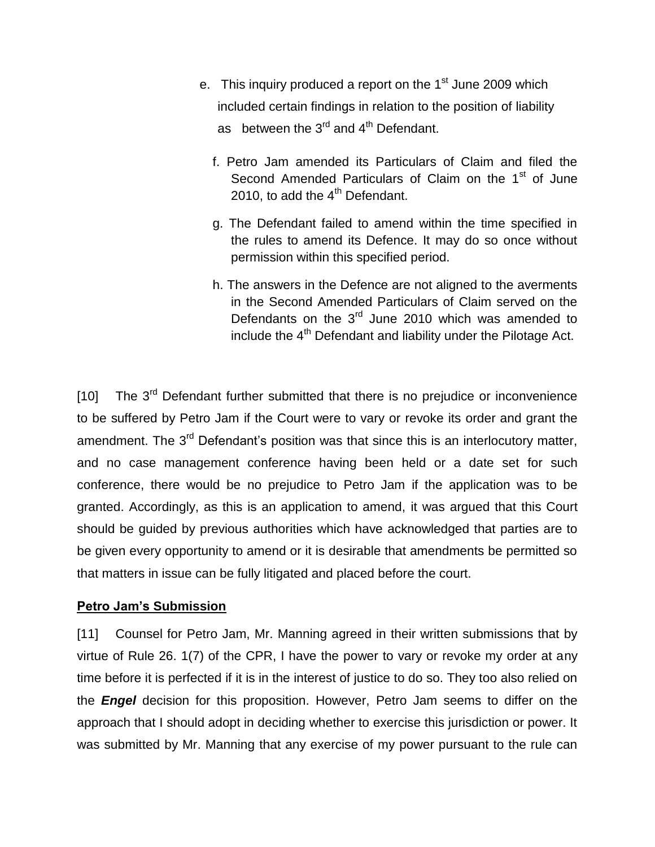- e. This inquiry produced a report on the 1<sup>st</sup> June 2009 which included certain findings in relation to the position of liability as between the  $3^{rd}$  and  $4^{th}$  Defendant.
	- f. Petro Jam amended its Particulars of Claim and filed the Second Amended Particulars of Claim on the 1<sup>st</sup> of June 2010, to add the  $4<sup>th</sup>$  Defendant.
	- g. The Defendant failed to amend within the time specified in the rules to amend its Defence. It may do so once without permission within this specified period.
	- h. The answers in the Defence are not aligned to the averments in the Second Amended Particulars of Claim served on the Defendants on the  $3<sup>rd</sup>$  June 2010 which was amended to include the  $4<sup>th</sup>$  Defendant and liability under the Pilotage Act.

 $[10]$  The 3<sup>rd</sup> Defendant further submitted that there is no prejudice or inconvenience to be suffered by Petro Jam if the Court were to vary or revoke its order and grant the amendment. The 3<sup>rd</sup> Defendant's position was that since this is an interlocutory matter, and no case management conference having been held or a date set for such conference, there would be no prejudice to Petro Jam if the application was to be granted. Accordingly, as this is an application to amend, it was argued that this Court should be guided by previous authorities which have acknowledged that parties are to be given every opportunity to amend or it is desirable that amendments be permitted so that matters in issue can be fully litigated and placed before the court.

#### **Petro Jam's Submission**

[11] Counsel for Petro Jam, Mr. Manning agreed in their written submissions that by virtue of Rule 26. 1(7) of the CPR, I have the power to vary or revoke my order at any time before it is perfected if it is in the interest of justice to do so. They too also relied on the *Engel* decision for this proposition. However, Petro Jam seems to differ on the approach that I should adopt in deciding whether to exercise this jurisdiction or power. It was submitted by Mr. Manning that any exercise of my power pursuant to the rule can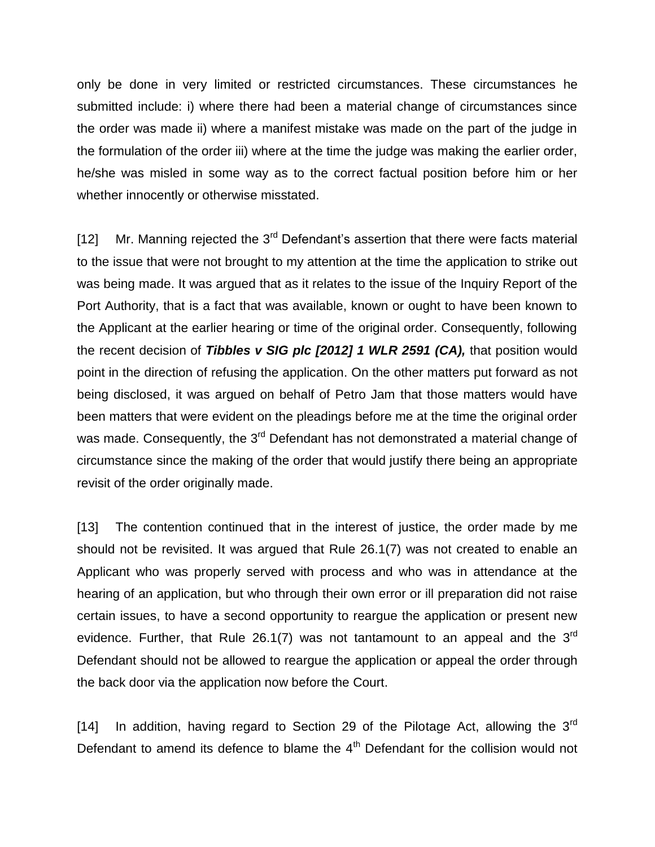only be done in very limited or restricted circumstances. These circumstances he submitted include: i) where there had been a material change of circumstances since the order was made ii) where a manifest mistake was made on the part of the judge in the formulation of the order iii) where at the time the judge was making the earlier order, he/she was misled in some way as to the correct factual position before him or her whether innocently or otherwise misstated.

[12] Mr. Manning rejected the  $3<sup>rd</sup>$  Defendant's assertion that there were facts material to the issue that were not brought to my attention at the time the application to strike out was being made. It was argued that as it relates to the issue of the Inquiry Report of the Port Authority, that is a fact that was available, known or ought to have been known to the Applicant at the earlier hearing or time of the original order. Consequently, following the recent decision of *Tibbles v SIG plc [2012] 1 WLR 2591 (CA),* that position would point in the direction of refusing the application. On the other matters put forward as not being disclosed, it was argued on behalf of Petro Jam that those matters would have been matters that were evident on the pleadings before me at the time the original order was made. Consequently, the 3<sup>rd</sup> Defendant has not demonstrated a material change of circumstance since the making of the order that would justify there being an appropriate revisit of the order originally made.

[13] The contention continued that in the interest of justice, the order made by me should not be revisited. It was argued that Rule 26.1(7) was not created to enable an Applicant who was properly served with process and who was in attendance at the hearing of an application, but who through their own error or ill preparation did not raise certain issues, to have a second opportunity to reargue the application or present new evidence. Further, that Rule 26.1(7) was not tantamount to an appeal and the  $3<sup>rd</sup>$ Defendant should not be allowed to reargue the application or appeal the order through the back door via the application now before the Court.

[14] In addition, having regard to Section 29 of the Pilotage Act, allowing the  $3<sup>rd</sup>$ Defendant to amend its defence to blame the  $4<sup>th</sup>$  Defendant for the collision would not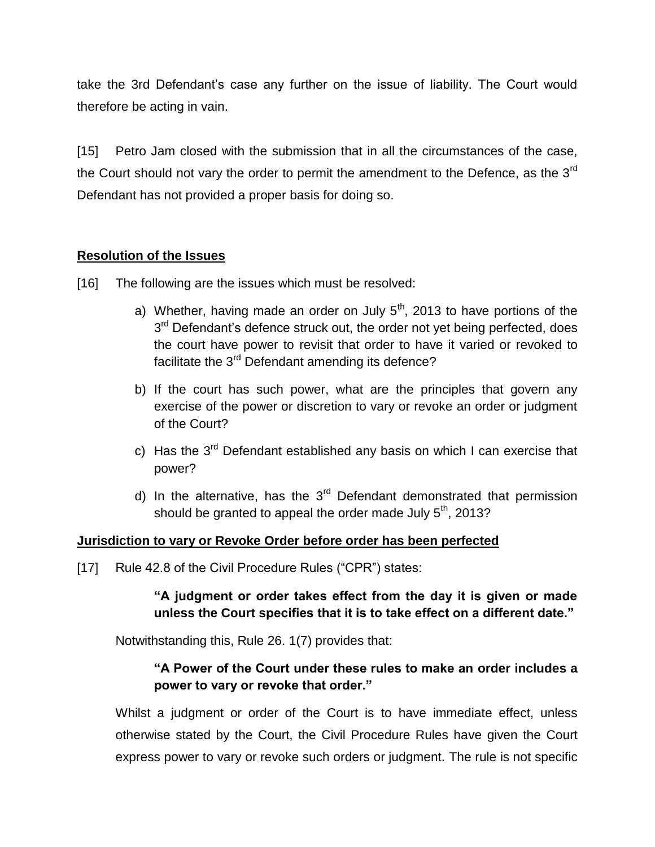take the 3rd Defendant's case any further on the issue of liability. The Court would therefore be acting in vain.

[15] Petro Jam closed with the submission that in all the circumstances of the case, the Court should not vary the order to permit the amendment to the Defence, as the  $3<sup>rd</sup>$ Defendant has not provided a proper basis for doing so.

## **Resolution of the Issues**

- [16] The following are the issues which must be resolved:
	- a) Whether, having made an order on July  $5<sup>th</sup>$ , 2013 to have portions of the 3<sup>rd</sup> Defendant's defence struck out, the order not yet being perfected, does the court have power to revisit that order to have it varied or revoked to facilitate the 3<sup>rd</sup> Defendant amending its defence?
	- b) If the court has such power, what are the principles that govern any exercise of the power or discretion to vary or revoke an order or judgment of the Court?
	- c) Has the  $3^{rd}$  Defendant established any basis on which I can exercise that power?
	- d) In the alternative, has the  $3<sup>rd</sup>$  Defendant demonstrated that permission should be granted to appeal the order made July  $5<sup>th</sup>$ , 2013?

## **Jurisdiction to vary or Revoke Order before order has been perfected**

[17] Rule 42.8 of the Civil Procedure Rules ("CPR") states:

# **"A judgment or order takes effect from the day it is given or made unless the Court specifies that it is to take effect on a different date."**

Notwithstanding this, Rule 26. 1(7) provides that:

## **"A Power of the Court under these rules to make an order includes a power to vary or revoke that order."**

Whilst a judgment or order of the Court is to have immediate effect, unless otherwise stated by the Court, the Civil Procedure Rules have given the Court express power to vary or revoke such orders or judgment. The rule is not specific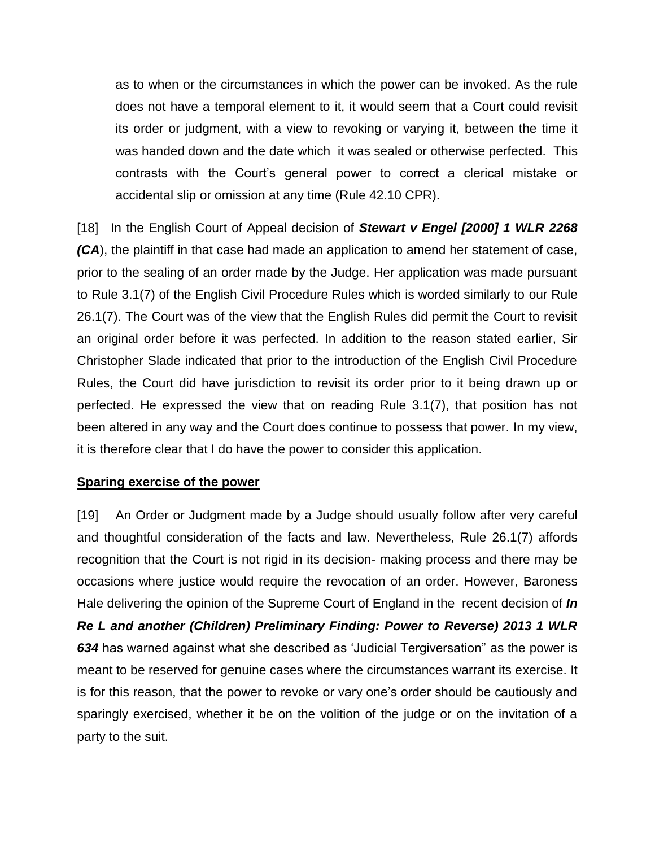as to when or the circumstances in which the power can be invoked. As the rule does not have a temporal element to it, it would seem that a Court could revisit its order or judgment, with a view to revoking or varying it, between the time it was handed down and the date which it was sealed or otherwise perfected. This contrasts with the Court's general power to correct a clerical mistake or accidental slip or omission at any time (Rule 42.10 CPR).

[18] In the English Court of Appeal decision of *Stewart v Engel [2000] 1 WLR 2268 (CA*), the plaintiff in that case had made an application to amend her statement of case, prior to the sealing of an order made by the Judge. Her application was made pursuant to Rule 3.1(7) of the English Civil Procedure Rules which is worded similarly to our Rule 26.1(7). The Court was of the view that the English Rules did permit the Court to revisit an original order before it was perfected. In addition to the reason stated earlier, Sir Christopher Slade indicated that prior to the introduction of the English Civil Procedure Rules, the Court did have jurisdiction to revisit its order prior to it being drawn up or perfected. He expressed the view that on reading Rule 3.1(7), that position has not been altered in any way and the Court does continue to possess that power. In my view, it is therefore clear that I do have the power to consider this application.

#### **Sparing exercise of the power**

[19] An Order or Judgment made by a Judge should usually follow after very careful and thoughtful consideration of the facts and law. Nevertheless, Rule 26.1(7) affords recognition that the Court is not rigid in its decision- making process and there may be occasions where justice would require the revocation of an order. However, Baroness Hale delivering the opinion of the Supreme Court of England in the recent decision of *In Re L and another (Children) Preliminary Finding: Power to Reverse) 2013 1 WLR 634* has warned against what she described as 'Judicial Tergiversation" as the power is meant to be reserved for genuine cases where the circumstances warrant its exercise. It is for this reason, that the power to revoke or vary one's order should be cautiously and sparingly exercised, whether it be on the volition of the judge or on the invitation of a party to the suit.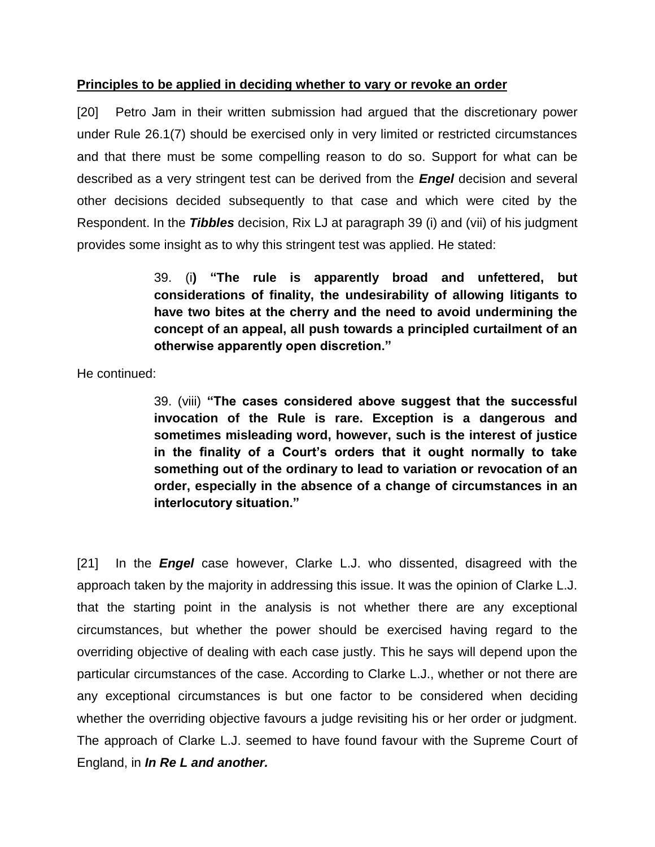#### **Principles to be applied in deciding whether to vary or revoke an order**

[20] Petro Jam in their written submission had argued that the discretionary power under Rule 26.1(7) should be exercised only in very limited or restricted circumstances and that there must be some compelling reason to do so. Support for what can be described as a very stringent test can be derived from the *Engel* decision and several other decisions decided subsequently to that case and which were cited by the Respondent. In the *Tibbles* decision, Rix LJ at paragraph 39 (i) and (vii) of his judgment provides some insight as to why this stringent test was applied. He stated:

> 39. (i**) "The rule is apparently broad and unfettered, but considerations of finality, the undesirability of allowing litigants to have two bites at the cherry and the need to avoid undermining the concept of an appeal, all push towards a principled curtailment of an otherwise apparently open discretion."**

He continued:

39. (viii) **"The cases considered above suggest that the successful invocation of the Rule is rare. Exception is a dangerous and sometimes misleading word, however, such is the interest of justice in the finality of a Court's orders that it ought normally to take something out of the ordinary to lead to variation or revocation of an order, especially in the absence of a change of circumstances in an interlocutory situation."**

[21] In the *Engel* case however, Clarke L.J. who dissented, disagreed with the approach taken by the majority in addressing this issue. It was the opinion of Clarke L.J. that the starting point in the analysis is not whether there are any exceptional circumstances, but whether the power should be exercised having regard to the overriding objective of dealing with each case justly. This he says will depend upon the particular circumstances of the case. According to Clarke L.J., whether or not there are any exceptional circumstances is but one factor to be considered when deciding whether the overriding objective favours a judge revisiting his or her order or judgment. The approach of Clarke L.J. seemed to have found favour with the Supreme Court of England, in *In Re L and another.*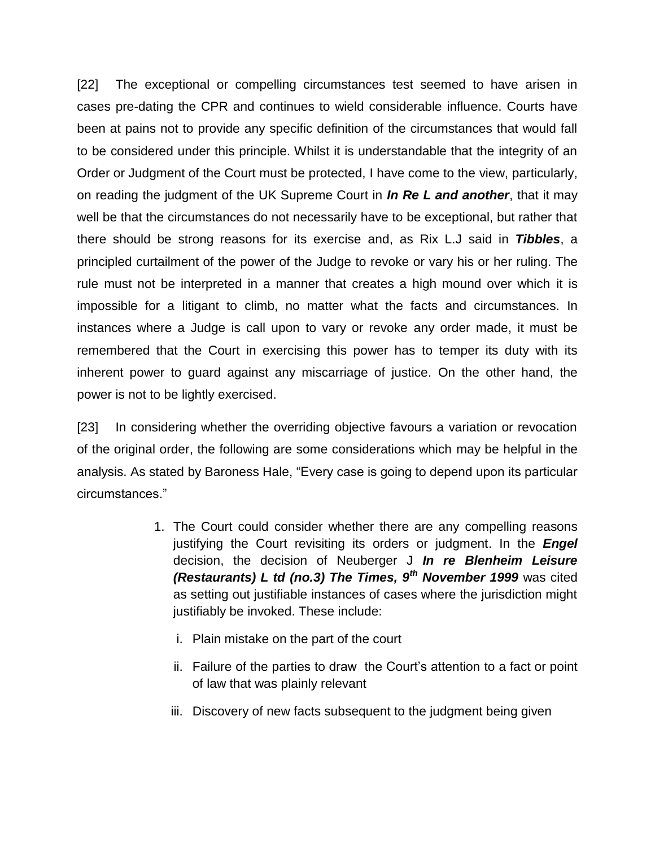[22] The exceptional or compelling circumstances test seemed to have arisen in cases pre-dating the CPR and continues to wield considerable influence. Courts have been at pains not to provide any specific definition of the circumstances that would fall to be considered under this principle. Whilst it is understandable that the integrity of an Order or Judgment of the Court must be protected, I have come to the view, particularly, on reading the judgment of the UK Supreme Court in *In Re L and another*, that it may well be that the circumstances do not necessarily have to be exceptional, but rather that there should be strong reasons for its exercise and, as Rix L.J said in *Tibbles*, a principled curtailment of the power of the Judge to revoke or vary his or her ruling. The rule must not be interpreted in a manner that creates a high mound over which it is impossible for a litigant to climb, no matter what the facts and circumstances. In instances where a Judge is call upon to vary or revoke any order made, it must be remembered that the Court in exercising this power has to temper its duty with its inherent power to guard against any miscarriage of justice. On the other hand, the power is not to be lightly exercised.

[23] In considering whether the overriding objective favours a variation or revocation of the original order, the following are some considerations which may be helpful in the analysis. As stated by Baroness Hale, "Every case is going to depend upon its particular circumstances."

- 1. The Court could consider whether there are any compelling reasons justifying the Court revisiting its orders or judgment. In the *Engel*  decision, the decision of Neuberger J *In re Blenheim Leisure (Restaurants) L td (no.3) The Times, 9th November 1999* was cited as setting out justifiable instances of cases where the jurisdiction might justifiably be invoked. These include:
	- i. Plain mistake on the part of the court
	- ii. Failure of the parties to draw the Court's attention to a fact or point of law that was plainly relevant
	- iii. Discovery of new facts subsequent to the judgment being given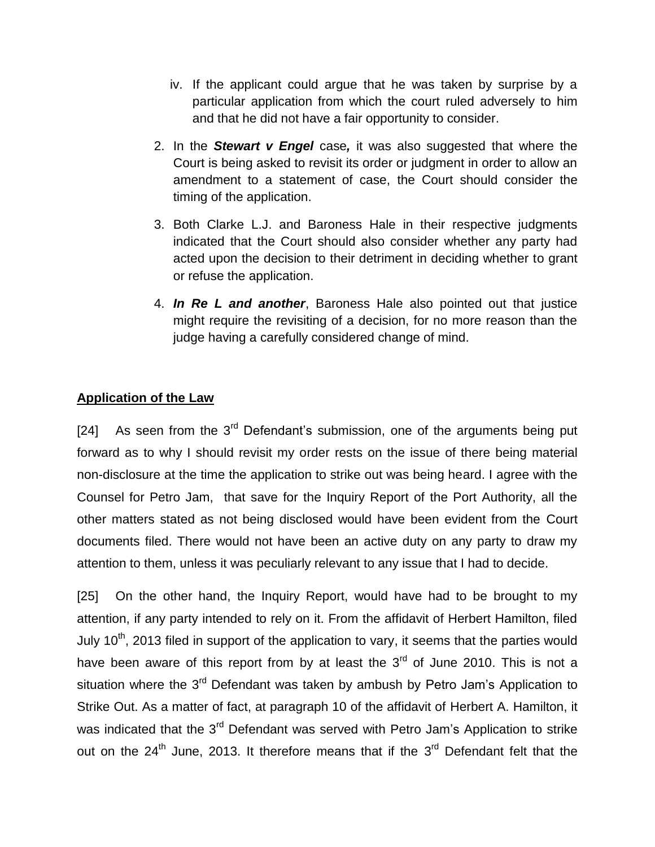- iv. If the applicant could argue that he was taken by surprise by a particular application from which the court ruled adversely to him and that he did not have a fair opportunity to consider.
- 2. In the *Stewart v Engel* case*,* it was also suggested that where the Court is being asked to revisit its order or judgment in order to allow an amendment to a statement of case, the Court should consider the timing of the application.
- 3. Both Clarke L.J. and Baroness Hale in their respective judgments indicated that the Court should also consider whether any party had acted upon the decision to their detriment in deciding whether to grant or refuse the application.
- 4. *In Re L and another*, Baroness Hale also pointed out that justice might require the revisiting of a decision, for no more reason than the judge having a carefully considered change of mind.

## **Application of the Law**

[24] As seen from the  $3<sup>rd</sup>$  Defendant's submission, one of the arguments being put forward as to why I should revisit my order rests on the issue of there being material non-disclosure at the time the application to strike out was being heard. I agree with the Counsel for Petro Jam, that save for the Inquiry Report of the Port Authority, all the other matters stated as not being disclosed would have been evident from the Court documents filed. There would not have been an active duty on any party to draw my attention to them, unless it was peculiarly relevant to any issue that I had to decide.

[25] On the other hand, the Inquiry Report, would have had to be brought to my attention, if any party intended to rely on it. From the affidavit of Herbert Hamilton, filed July 10<sup>th</sup>, 2013 filed in support of the application to vary, it seems that the parties would have been aware of this report from by at least the  $3<sup>rd</sup>$  of June 2010. This is not a situation where the 3<sup>rd</sup> Defendant was taken by ambush by Petro Jam's Application to Strike Out. As a matter of fact, at paragraph 10 of the affidavit of Herbert A. Hamilton, it was indicated that the 3<sup>rd</sup> Defendant was served with Petro Jam's Application to strike out on the 24<sup>th</sup> June, 2013. It therefore means that if the 3<sup>rd</sup> Defendant felt that the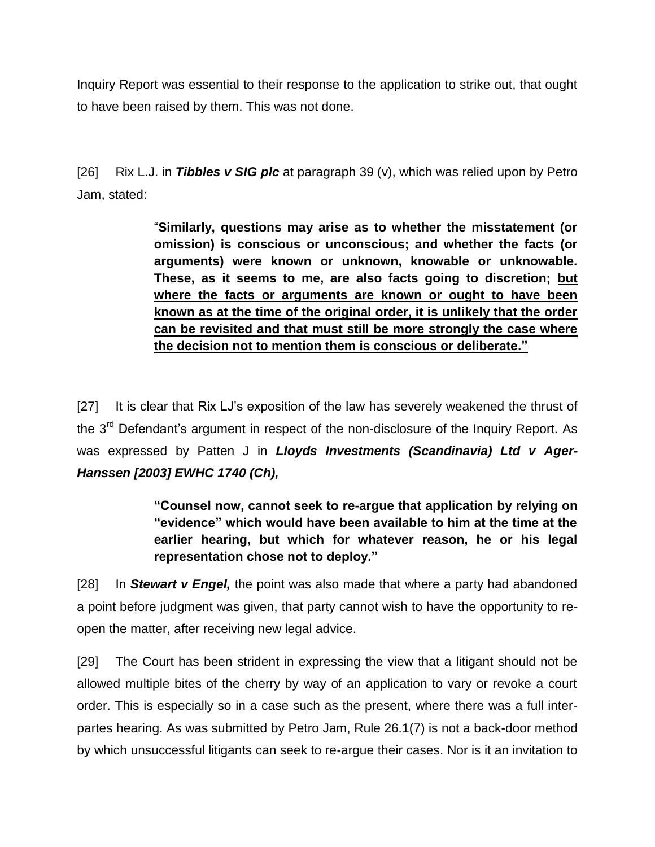Inquiry Report was essential to their response to the application to strike out, that ought to have been raised by them. This was not done.

[26] Rix L.J. in *Tibbles v SIG plc* at paragraph 39 (v), which was relied upon by Petro Jam, stated:

> "**Similarly, questions may arise as to whether the misstatement (or omission) is conscious or unconscious; and whether the facts (or arguments) were known or unknown, knowable or unknowable. These, as it seems to me, are also facts going to discretion; but where the facts or arguments are known or ought to have been known as at the time of the original order, it is unlikely that the order can be revisited and that must still be more strongly the case where the decision not to mention them is conscious or deliberate."**

[27] It is clear that Rix LJ's exposition of the law has severely weakened the thrust of the  $3<sup>rd</sup>$  Defendant's argument in respect of the non-disclosure of the Inquiry Report. As was expressed by Patten J in *Lloyds Investments (Scandinavia) Ltd v Ager-Hanssen [2003] EWHC 1740 (Ch),*

> **"Counsel now, cannot seek to re-argue that application by relying on "evidence" which would have been available to him at the time at the earlier hearing, but which for whatever reason, he or his legal representation chose not to deploy."**

[28] In *Stewart v Engel,* the point was also made that where a party had abandoned a point before judgment was given, that party cannot wish to have the opportunity to reopen the matter, after receiving new legal advice.

[29] The Court has been strident in expressing the view that a litigant should not be allowed multiple bites of the cherry by way of an application to vary or revoke a court order. This is especially so in a case such as the present, where there was a full interpartes hearing. As was submitted by Petro Jam, Rule 26.1(7) is not a back-door method by which unsuccessful litigants can seek to re-argue their cases. Nor is it an invitation to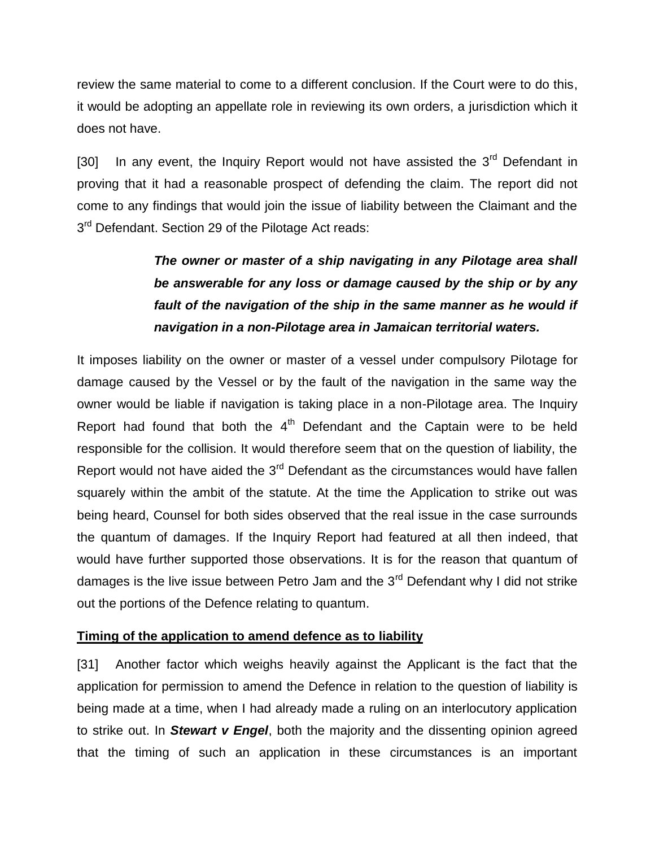review the same material to come to a different conclusion. If the Court were to do this, it would be adopting an appellate role in reviewing its own orders, a jurisdiction which it does not have.

[30] In any event, the Inquiry Report would not have assisted the  $3<sup>rd</sup>$  Defendant in proving that it had a reasonable prospect of defending the claim. The report did not come to any findings that would join the issue of liability between the Claimant and the 3<sup>rd</sup> Defendant. Section 29 of the Pilotage Act reads:

# *The owner or master of a ship navigating in any Pilotage area shall be answerable for any loss or damage caused by the ship or by any fault of the navigation of the ship in the same manner as he would if navigation in a non-Pilotage area in Jamaican territorial waters.*

It imposes liability on the owner or master of a vessel under compulsory Pilotage for damage caused by the Vessel or by the fault of the navigation in the same way the owner would be liable if navigation is taking place in a non-Pilotage area. The Inquiry Report had found that both the  $4<sup>th</sup>$  Defendant and the Captain were to be held responsible for the collision. It would therefore seem that on the question of liability, the Report would not have aided the  $3<sup>rd</sup>$  Defendant as the circumstances would have fallen squarely within the ambit of the statute. At the time the Application to strike out was being heard, Counsel for both sides observed that the real issue in the case surrounds the quantum of damages. If the Inquiry Report had featured at all then indeed, that would have further supported those observations. It is for the reason that quantum of damages is the live issue between Petro Jam and the  $3<sup>rd</sup>$  Defendant why I did not strike out the portions of the Defence relating to quantum.

## **Timing of the application to amend defence as to liability**

[31] Another factor which weighs heavily against the Applicant is the fact that the application for permission to amend the Defence in relation to the question of liability is being made at a time, when I had already made a ruling on an interlocutory application to strike out. In *Stewart v Engel*, both the majority and the dissenting opinion agreed that the timing of such an application in these circumstances is an important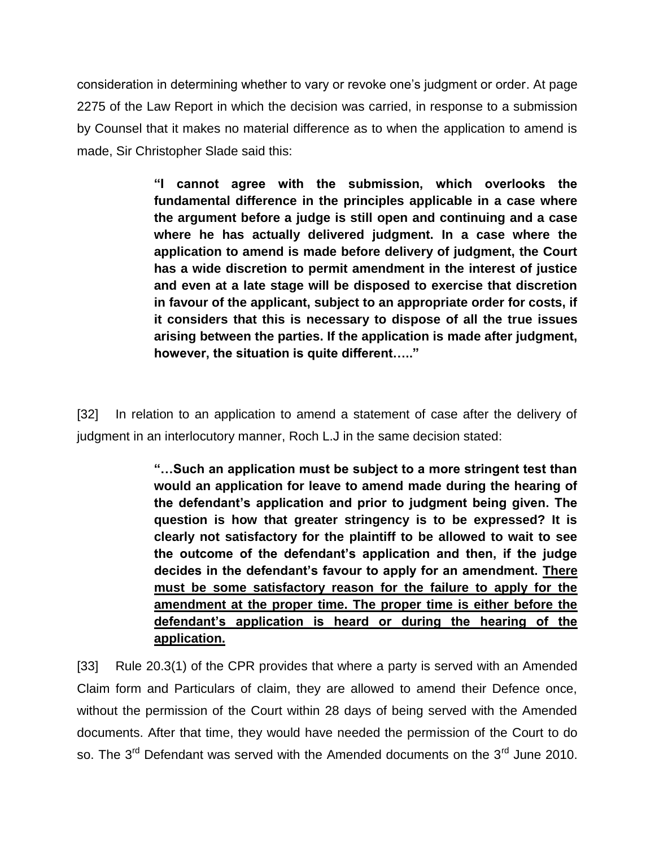consideration in determining whether to vary or revoke one's judgment or order. At page 2275 of the Law Report in which the decision was carried, in response to a submission by Counsel that it makes no material difference as to when the application to amend is made, Sir Christopher Slade said this:

> **"I cannot agree with the submission, which overlooks the fundamental difference in the principles applicable in a case where the argument before a judge is still open and continuing and a case where he has actually delivered judgment. In a case where the application to amend is made before delivery of judgment, the Court has a wide discretion to permit amendment in the interest of justice and even at a late stage will be disposed to exercise that discretion in favour of the applicant, subject to an appropriate order for costs, if it considers that this is necessary to dispose of all the true issues arising between the parties. If the application is made after judgment, however, the situation is quite different….."**

[32] In relation to an application to amend a statement of case after the delivery of judgment in an interlocutory manner, Roch L.J in the same decision stated:

> **"…Such an application must be subject to a more stringent test than would an application for leave to amend made during the hearing of the defendant's application and prior to judgment being given. The question is how that greater stringency is to be expressed? It is clearly not satisfactory for the plaintiff to be allowed to wait to see the outcome of the defendant's application and then, if the judge decides in the defendant's favour to apply for an amendment. There must be some satisfactory reason for the failure to apply for the amendment at the proper time. The proper time is either before the defendant's application is heard or during the hearing of the application.**

[33] Rule 20.3(1) of the CPR provides that where a party is served with an Amended Claim form and Particulars of claim, they are allowed to amend their Defence once, without the permission of the Court within 28 days of being served with the Amended documents. After that time, they would have needed the permission of the Court to do so. The 3<sup>rd</sup> Defendant was served with the Amended documents on the 3<sup>rd</sup> June 2010.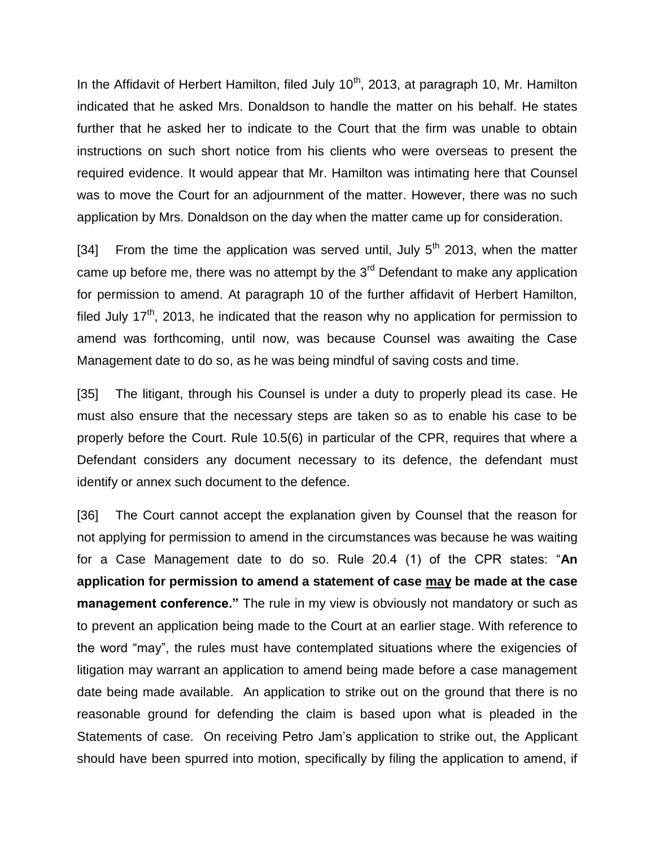In the Affidavit of Herbert Hamilton, filed July  $10<sup>th</sup>$ , 2013, at paragraph 10, Mr. Hamilton indicated that he asked Mrs. Donaldson to handle the matter on his behalf. He states further that he asked her to indicate to the Court that the firm was unable to obtain instructions on such short notice from his clients who were overseas to present the required evidence. It would appear that Mr. Hamilton was intimating here that Counsel was to move the Court for an adjournment of the matter. However, there was no such application by Mrs. Donaldson on the day when the matter came up for consideration.

[34] From the time the application was served until, July  $5<sup>th</sup>$  2013, when the matter came up before me, there was no attempt by the  $3<sup>rd</sup>$  Defendant to make any application for permission to amend. At paragraph 10 of the further affidavit of Herbert Hamilton, filed July 17<sup>th</sup>, 2013, he indicated that the reason why no application for permission to amend was forthcoming, until now, was because Counsel was awaiting the Case Management date to do so, as he was being mindful of saving costs and time.

[35] The litigant, through his Counsel is under a duty to properly plead its case. He must also ensure that the necessary steps are taken so as to enable his case to be properly before the Court. Rule 10.5(6) in particular of the CPR, requires that where a Defendant considers any document necessary to its defence, the defendant must identify or annex such document to the defence.

[36] The Court cannot accept the explanation given by Counsel that the reason for not applying for permission to amend in the circumstances was because he was waiting for a Case Management date to do so. Rule 20.4 (1) of the CPR states: "**An application for permission to amend a statement of case may be made at the case management conference."** The rule in my view is obviously not mandatory or such as to prevent an application being made to the Court at an earlier stage. With reference to the word "may", the rules must have contemplated situations where the exigencies of litigation may warrant an application to amend being made before a case management date being made available. An application to strike out on the ground that there is no reasonable ground for defending the claim is based upon what is pleaded in the Statements of case. On receiving Petro Jam's application to strike out, the Applicant should have been spurred into motion, specifically by filing the application to amend, if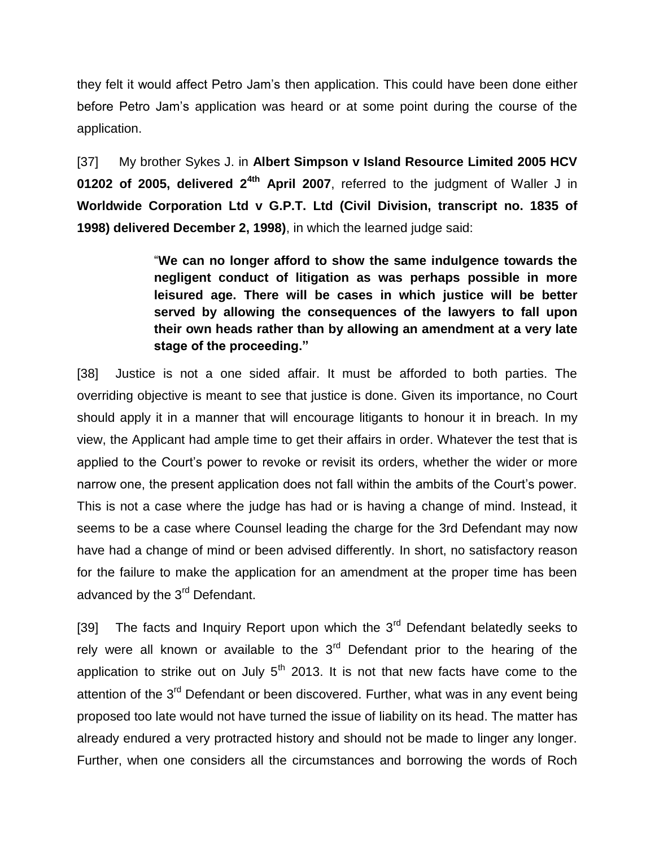they felt it would affect Petro Jam's then application. This could have been done either before Petro Jam's application was heard or at some point during the course of the application.

[37] My brother Sykes J. in **Albert Simpson v Island Resource Limited 2005 HCV 01202 of 2005, delivered 24th April 2007**, referred to the judgment of Waller J in **Worldwide Corporation Ltd v G.P.T. Ltd (Civil Division, transcript no. 1835 of 1998) delivered December 2, 1998)**, in which the learned judge said:

> "**We can no longer afford to show the same indulgence towards the negligent conduct of litigation as was perhaps possible in more leisured age. There will be cases in which justice will be better served by allowing the consequences of the lawyers to fall upon their own heads rather than by allowing an amendment at a very late stage of the proceeding."**

[38] Justice is not a one sided affair. It must be afforded to both parties. The overriding objective is meant to see that justice is done. Given its importance, no Court should apply it in a manner that will encourage litigants to honour it in breach. In my view, the Applicant had ample time to get their affairs in order. Whatever the test that is applied to the Court's power to revoke or revisit its orders, whether the wider or more narrow one, the present application does not fall within the ambits of the Court's power. This is not a case where the judge has had or is having a change of mind. Instead, it seems to be a case where Counsel leading the charge for the 3rd Defendant may now have had a change of mind or been advised differently. In short, no satisfactory reason for the failure to make the application for an amendment at the proper time has been advanced by the 3<sup>rd</sup> Defendant.

[39] The facts and Inquiry Report upon which the  $3<sup>rd</sup>$  Defendant belatedly seeks to rely were all known or available to the  $3<sup>rd</sup>$  Defendant prior to the hearing of the application to strike out on July  $5<sup>th</sup>$  2013. It is not that new facts have come to the attention of the 3<sup>rd</sup> Defendant or been discovered. Further, what was in any event being proposed too late would not have turned the issue of liability on its head. The matter has already endured a very protracted history and should not be made to linger any longer. Further, when one considers all the circumstances and borrowing the words of Roch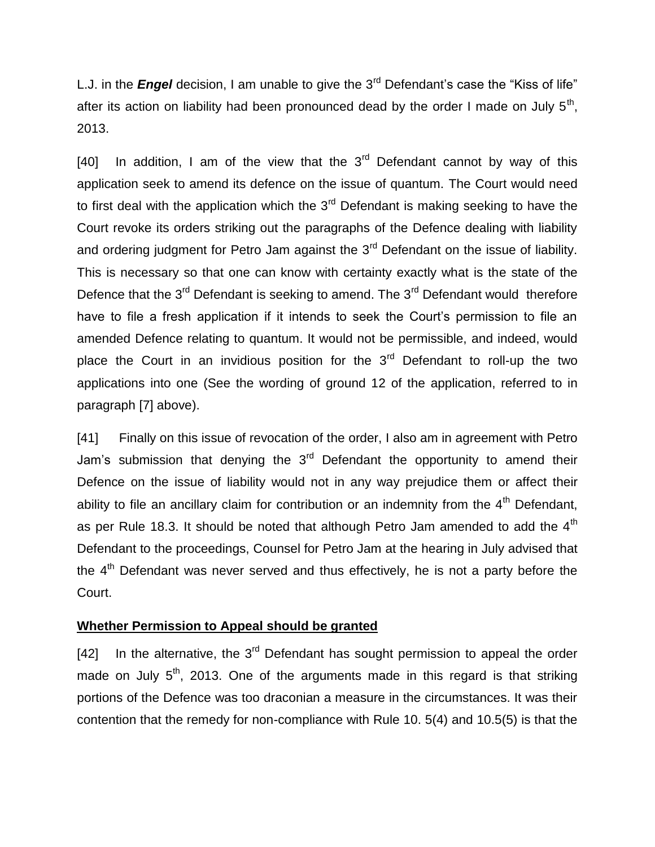L.J. in the *Engel* decision, I am unable to give the 3<sup>rd</sup> Defendant's case the "Kiss of life" after its action on liability had been pronounced dead by the order I made on July  $5^{th}$ , 2013.

[40] In addition, I am of the view that the  $3<sup>rd</sup>$  Defendant cannot by way of this application seek to amend its defence on the issue of quantum. The Court would need to first deal with the application which the  $3<sup>rd</sup>$  Defendant is making seeking to have the Court revoke its orders striking out the paragraphs of the Defence dealing with liability and ordering judgment for Petro Jam against the  $3<sup>rd</sup>$  Defendant on the issue of liability. This is necessary so that one can know with certainty exactly what is the state of the Defence that the  $3^{rd}$  Defendant is seeking to amend. The  $3^{rd}$  Defendant would therefore have to file a fresh application if it intends to seek the Court's permission to file an amended Defence relating to quantum. It would not be permissible, and indeed, would place the Court in an invidious position for the  $3<sup>rd</sup>$  Defendant to roll-up the two applications into one (See the wording of ground 12 of the application, referred to in paragraph [7] above).

[41] Finally on this issue of revocation of the order, I also am in agreement with Petro Jam's submission that denying the  $3<sup>rd</sup>$  Defendant the opportunity to amend their Defence on the issue of liability would not in any way prejudice them or affect their ability to file an ancillary claim for contribution or an indemnity from the  $4<sup>th</sup>$  Defendant, as per Rule 18.3. It should be noted that although Petro Jam amended to add the  $4<sup>th</sup>$ Defendant to the proceedings, Counsel for Petro Jam at the hearing in July advised that the 4<sup>th</sup> Defendant was never served and thus effectively, he is not a party before the Court.

#### **Whether Permission to Appeal should be granted**

[42] In the alternative, the  $3<sup>rd</sup>$  Defendant has sought permission to appeal the order made on July  $5<sup>th</sup>$ , 2013. One of the arguments made in this regard is that striking portions of the Defence was too draconian a measure in the circumstances. It was their contention that the remedy for non-compliance with Rule 10. 5(4) and 10.5(5) is that the